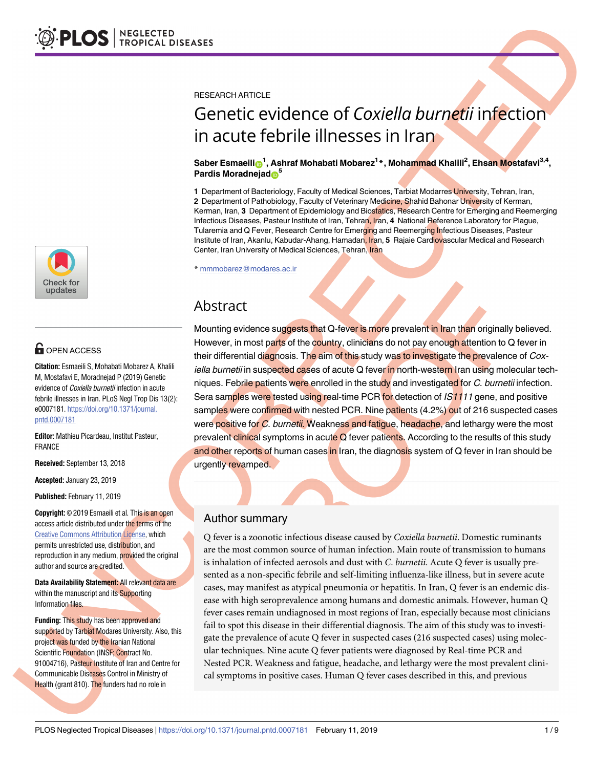

# $\blacksquare$  OPEN ACCESS

**Citation:** Esmaeili S, Mohabati Mobarez A, Khalili M, Mostafavi E, Moradnejad P (2019) Genetic evidence of *Coxiella burnetii* infection in acute febrile illnesses in Iran. PLoS Negl Trop Dis 13(2): e0007181. [https://doi.org/10.1371/journal.](https://doi.org/10.1371/journal.pntd.0007181) [pntd.0007181](https://doi.org/10.1371/journal.pntd.0007181)

**Editor:** Mathieu Picardeau, Institut Pasteur, FRANCE

**Received:** September 13, 2018

**Accepted:** January 23, 2019

**Published:** February 11, 2019

**Copyright:** © 2019 Esmaeili et al. This is an open access article distributed under the terms of the Creative Commons [Attribution](http://creativecommons.org/licenses/by/4.0/) License, which permits unrestricted use, distribution, and reproduction in any medium, provided the original author and source are credited.

**Data Availability Statement:** All relevant data are within the manuscript and its Supporting Information files.

**Funding:** This study has been approved and supported by Tarbiat Modares University. Also, this project was funded by the Iranian National Scientific Foundation (INSF; Contract No. 91004716), Pasteur Institute of Iran and Centre for Communicable Diseases Control in Ministry of Health (grant 810). The funders had no role in

RESEARCH ARTICLE

# Genetic evidence of *Coxiella burnetii* infection in acute febrile illnesses in Iran

#### $\boldsymbol{\delta}$ Saber Esmaeili $\boldsymbol{\delta}^1$ , Ashraf Mohabati Mobarez $^{1}$ \*, Mohammad Khalili<sup>2</sup>, Ehsan Mostafavi $^{3,4}$ , **Pardis Moradnejad**<sup>5</sup>

**1** Department of Bacteriology, Faculty of Medical Sciences, Tarbiat Modarres University, Tehran, Iran, **2** Department of Pathobiology, Faculty of Veterinary Medicine, Shahid Bahonar University of Kerman, Kerman, Iran, **3** Department of Epidemiology and Biostatics, Research Centre for Emerging and Reemerging Infectious Diseases, Pasteur Institute of Iran, Tehran, Iran, **4** National Reference Laboratory for Plague, Tularemia and Q Fever, Research Centre for Emerging and Reemerging Infectious Diseases, Pasteur Institute of Iran, Akanlu, Kabudar-Ahang, Hamadan, Iran, **5** Rajaie Cardiovascular Medical and Research Center, Iran University of Medical Sciences, Tehran, Iran

\* mmmobarez@modares.ac.ir

# Abstract

Mounting evidence suggests that Q-fever is more prevalent in Iran than originally believed. However, in most parts of the country, clinicians do not pay enough attention to Q fever in their differential diagnosis. The aim of this study was to investigate the prevalence of Coxiella burnetii in suspected cases of acute Q fever in north-western Iran using molecular techniques. Febrile patients were enrolled in the study and investigated for C. burnetii infection. Sera samples were tested using real-time PCR for detection of  $IS1111$  gene, and positive samples were confirmed with nested PCR. Nine patients (4.2%) out of 216 suspected cases were positive for C. burnetii. Weakness and fatigue, headache, and lethargy were the most prevalent clinical symptoms in acute Q fever patients. According to the results of this study and other reports of human cases in Iran, the diagnosis system of Q fever in Iran should be urgently revamped.

## Author summary

Q fever is a zoonotic infectious disease caused by *Coxiella burnetii*. Domestic ruminants are the most common source of human infection. Main route of transmission to humans is inhalation of infected aerosols and dust with *C*. *burnetii*. Acute Q fever is usually presented as a non-specific febrile and self-limiting influenza-like illness, but in severe acute cases, may manifest as atypical pneumonia or hepatitis. In Iran, Q fever is an endemic disease with high seroprevalence among humans and domestic animals. However, human Q fever cases remain undiagnosed in most regions of Iran, especially because most clinicians fail to spot this disease in their differential diagnosis. The aim of this study was to investigate the prevalence of acute Q fever in suspected cases (216 suspected cases) using molecular techniques. Nine acute Q fever patients were diagnosed by Real-time PCR and Nested PCR. Weakness and fatigue, headache, and lethargy were the most prevalent clinical symptoms in positive cases. Human Q fever cases described in this, and previous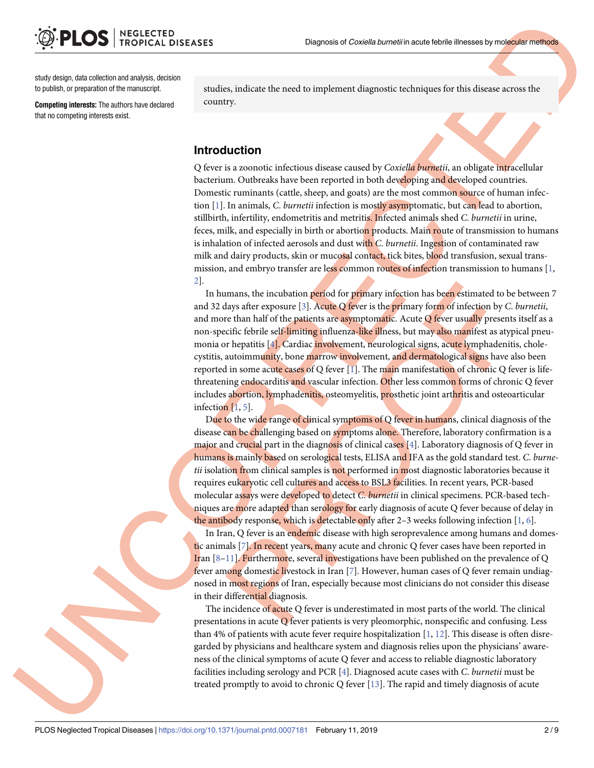<span id="page-1-0"></span>study design, data collection and analysis, decision to publish, or preparation of the manuscript.

**Competing interests:** The authors have declared that no competing interests exist.

studies, indicate the need to implement diagnostic techniques for this disease across the country.

#### **Introduction**

Q fever is a zoonotic infectious disease caused by *Coxiella burnetii*, an obligate intracellular bacterium. Outbreaks have been reported in both developing and developed countries. Domestic ruminants (cattle, sheep, and goats) are the most common source of human infection [[1\]](#page-7-0). In animals, *C*. *burnetii* infection is mostly asymptomatic, but can lead to abortion, stillbirth, infertility, endometritis and metritis. Infected animals shed *C*. *burnetii* in urine, feces, milk, and especially in birth or abortion products. Main route of transmission to humans is inhalation of infected aerosols and dust with *C*. *burnetii*. Ingestion of contaminated raw milk and dairy products, skin or mucosal contact, tick bites, blood transfusion, sexual transmission, and embryo transfer are less common routes of infection transmission to humans  $[1,$ [2\]](#page-7-0).

In humans, the incubation period for primary infection has been estimated to be between 7 and 32 days after exposure [[3\]](#page-7-0). Acute Q fever is the primary form of infection by *C*. *burnetii*, and more than half of the patients are asymptomatic. Acute  $Q$  fever usually presents itself as a non-specific febrile self-limiting influenza-like illness, but may also manifest as atypical pneumonia or hepatitis [\[4](#page-7-0)]. Cardiac involvement, neurological signs, acute lymphadenitis, cholecystitis, autoimmunity, bone marrow involvement, and dermatological signs have also been reported in some acute cases of Q fever  $[I]$ . The main manifestation of chronic Q fever is lifethreatening endocarditis and vascular infection. Other less common forms of chronic Q fever includes abortion, lymphadenitis, osteomyelitis, prosthetic joint arthritis and osteoarticular infection [\[1](#page-7-0), [5](#page-7-0)].

Due to the wide range of clinical symptoms of Q fever in humans, clinical diagnosis of the disease can be challenging based on symptoms alone. Therefore, laboratory confirmation is a major and crucial part in the diagnosis of clinical cases [\[4\]](#page-7-0). Laboratory diagnosis of Q fever in humans is mainly based on serological tests, ELISA and IFA as the gold standard test. *C*. *burnetii* isolation from clinical samples is not performed in most diagnostic laboratories because it requires eukaryotic cell cultures and access to BSL3 facilities. In recent years, PCR-based molecular assays were developed to detect *C*. *burnetii* in clinical specimens. PCR-based techniques are more adapted than serology for early diagnosis of acute Q fever because of delay in the antibody response, which is detectable only after 2–3 weeks following infection  $[1, 6]$  $[1, 6]$  $[1, 6]$  $[1, 6]$ .

In Iran, Q fever is an endemic disease with high seroprevalence among humans and domestic animals [[7\]](#page-7-0). In recent years, many acute and chronic Q fever cases have been reported in Iran [8-11]. Furthermore, several investigations have been published on the prevalence of Q fever among domestic livestock in Iran [\[7\]](#page-7-0). However, human cases of Q fever remain undiagnosed in most regions of Iran, especially because most clinicians do not consider this disease in their differential diagnosis.

The incidence of acute Q fever is underestimated in most parts of the world. The clinical presentations in acute Q fever patients is very pleomorphic, nonspecific and confusing. Less than 4% of patients with acute fever require hospitalization  $[1, 12]$  $[1, 12]$  $[1, 12]$  $[1, 12]$ . This disease is often disregarded by physicians and healthcare system and diagnosis relies upon the physicians' awareness of the clinical symptoms of acute Q fever and access to reliable diagnostic laboratory facilities including serology and PCR [\[4](#page-7-0)]. Diagnosed acute cases with *C*. *burnetii* must be treated promptly to avoid to chronic Q fever [[13](#page-8-0)]. The rapid and timely diagnosis of acute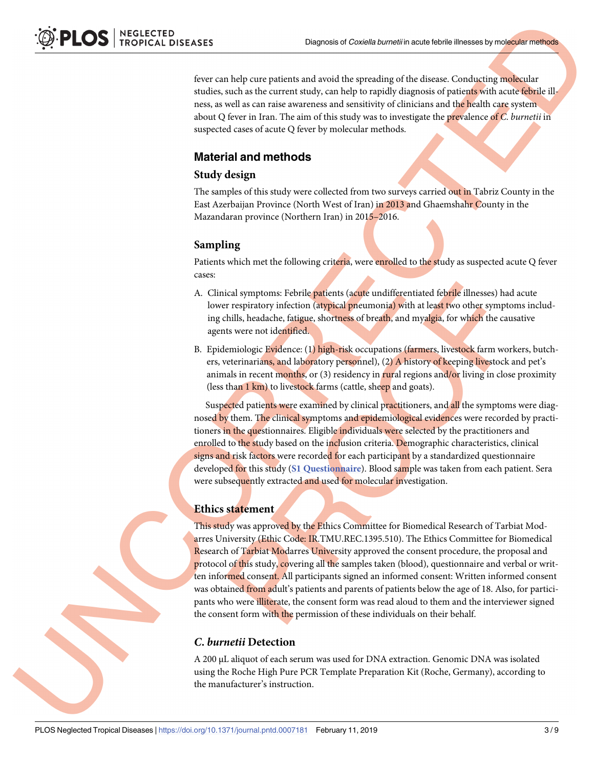fever can help cure patients and avoid the spreading of the disease. Conducting molecular studies, such as the current study, can help to rapidly diagnosis of patients with acute febrile illness, as well as can raise awareness and sensitivity of clinicians and the health care system about Q fever in Iran. The aim of this study was to investigate the prevalence of *C*. *burnetii* in suspected cases of acute Q fever by molecular methods.

#### **Material and methods**

#### **Study design**

The samples of this study were collected from two surveys carried out in Tabriz County in the East Azerbaijan Province (North West of Iran) in 2013 and Ghaemshahr County in the Mazandaran province (Northern Iran) in 2015–2016.

#### **Sampling**

Patients which met the following criteria, were enrolled to the study as suspected acute Q fever cases:

- A. Clinical symptoms: Febrile patients (acute undifferentiated febrile illnesses) had acute lower respiratory infection (atypical pneumonia) with at least two other symptoms including chills, headache, fatigue, shortness of breath, and myalgia, for which the causative agents were not identified.
- B. Epidemiologic Evidence: (1) high-risk occupations (farmers, livestock farm workers, butchers, veterinarians, and laboratory personnel), (2) A history of keeping livestock and pet's animals in recent months, or  $(3)$  residency in rural regions and/or living in close proximity (less than 1 km) to livestock farms (cattle, sheep and goats).

Suspected patients were examined by clinical practitioners, and all the symptoms were diagnosed by them. The clinical symptoms and epidemiological evidences were recorded by practitioners in the questionnaires. Eligible individuals were selected by the practitioners and enrolled to the study based on the inclusion criteria. Demographic characteristics, clinical signs and risk factors were recorded for each participant by a standardized questionnaire developed for this study (**S1 [Questionnaire](#page-6-0)**). Blood sample was taken from each patient. Sera were subsequently extracted and used for molecular investigation.

#### **Ethics statement**

This study was approved by the Ethics Committee for Biomedical Research of Tarbiat Modarres University (Ethic Code: IR.TMU.REC.1395.510). The Ethics Committee for Biomedical Research of Tarbiat Modarres University approved the consent procedure, the proposal and protocol of this study, covering all the samples taken (blood), questionnaire and verbal or written informed consent. All participants signed an informed consent: Written informed consent was obtained from adult's patients and parents of patients below the age of 18. Also, for participants who were illiterate, the consent form was read aloud to them and the interviewer signed the consent form with the permission of these individuals on their behalf.

#### *C***.** *burnetii* **Detection**

A 200 μL aliquot of each serum was used for DNA extraction. Genomic DNA was isolated using the Roche High Pure PCR Template Preparation Kit (Roche, Germany), according to the manufacturer's instruction.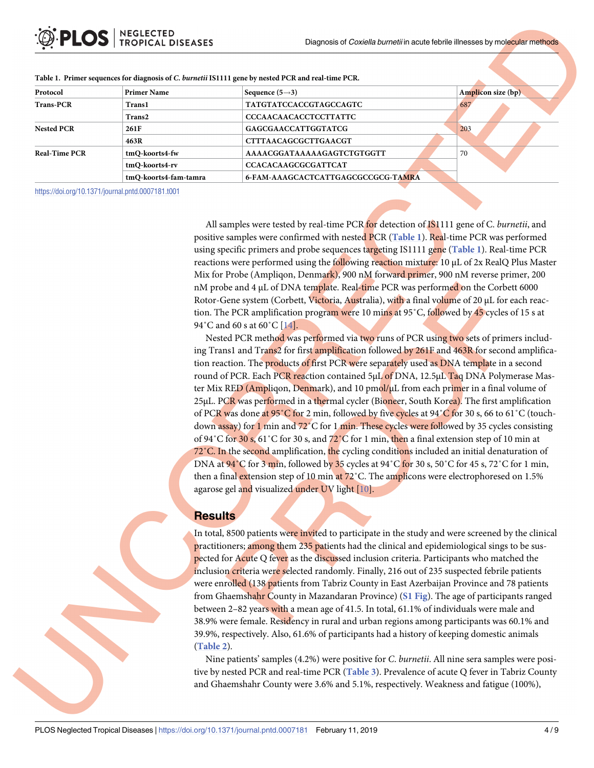| Protocol             | <b>Primer Name</b>                           | Sequence $(5\rightarrow 3)$        | Amplicon size (bp) |  |  |
|----------------------|----------------------------------------------|------------------------------------|--------------------|--|--|
| <b>Trans-PCR</b>     | <b>Trans1</b>                                | <b>TATGTATCCACCGTAGCCAGTC</b>      | 687                |  |  |
|                      | Trans2                                       | <b>CCCAACAACACCTCCTTATTC</b>       |                    |  |  |
| <b>Nested PCR</b>    | <b>GAGCGAACCATTGGTATCG</b><br>261F           |                                    | 203                |  |  |
|                      | 463R                                         | <b>CTTTAACAGCGCTTGAACGT</b>        |                    |  |  |
| <b>Real-Time PCR</b> | tmQ-koorts4-fw<br>AAAACGGATAAAAAGAGTCTGTGGTT |                                    | 70                 |  |  |
|                      | <b>CCACACAAGCGCGATTCAT</b><br>tmQ-koorts4-rv |                                    |                    |  |  |
|                      | tmQ-koorts4-fam-tamra                        | 6-FAM-AAAGCACTCATTGAGCGCCGCG-TAMRA |                    |  |  |

#### <span id="page-3-0"></span>Table 1. Primer sequences for diagnosis of C. burnetii IS1111 gene by nested PCR and real-time PCR.

<https://doi.org/10.1371/journal.pntd.0007181.t001>

All samples were tested by real-time PCR for detection of IS1111 gene of C. *burnetii*, and positive samples were confirmed with nested PCR (**Table 1**). Real-time PCR was performed using specific primers and probe sequences targeting IS1111 gene (**Table 1**). Real-time PCR reactions were performed using the following reaction mixture: 10 μL of 2x RealQ Plus Master Mix for Probe (Ampliqon, Denmark), 900 nM forward primer, 900 nM reverse primer, 200 nM probe and 4 μL of DNA template. Real-time PCR was performed on the Corbett 6000 Rotor-Gene system (Corbett, Victoria, Australia), with a final volume of 20 μL for each reaction. The PCR amplification program were 10 mins at 95˚C, followed by 45 cycles of 15 s at 94°C and 60 s at 60°C [\[14\]](#page-8-0).

Nested PCR method was performed via two runs of PCR using two sets of primers including Trans1 and Trans2 for first amplification followed by 261F and 463R for second amplification reaction. The products of first PCR were separately used as DNA template in a second round of PCR. Each PCR reaction contained 5μL of DNA, 12.5μL Taq DNA Polymerase Master Mix RED (Ampliqon, Denmark), and 10  $pmol/µL$  from each primer in a final volume of 25μL. PCR was performed in a thermal cycler (Bioneer, South Korea). The first amplification of PCR was done at 95˚C for 2 min, followed by five cycles at 94˚C for 30 s, 66 to 61˚C (touchdown assay) for 1 min and 72°C for 1 min. These cycles were followed by 35 cycles consisting of 94°C for 30 s, 61°C for 30 s, and  $72^{\circ}$ C for 1 min, then a final extension step of 10 min at  $72\degree$ C. In the second amplification, the cycling conditions included an initial denaturation of DNA at  $94^\circ$ C for 3 min, followed by 35 cycles at  $94^\circ$ C for 30 s, 50°C for 45 s, 72°C for 1 min, then a final extension step of 10 min at 72°C. The amplicons were electrophoresed on 1.5% agarose gel and visualized under UV light [[10](#page-8-0)].

### **Results**

In total, 8500 patients were invited to participate in the study and were screened by the clinical practitioners; among them 235 patients had the clinical and epidemiological sings to be suspected for Acute Q fever as the discussed inclusion criteria. Participants who matched the inclusion criteria were selected randomly. Finally, 216 out of 235 suspected febrile patients were enrolled (138 patients from Tabriz County in East Azerbaijan Province and 78 patients from Ghaemshahr County in Mazandaran Province) (**S1 [Fig](#page-6-0)**). The age of participants ranged between 2-82 years with a mean age of 41.5. In total, 61.1% of individuals were male and 38.9% were female. Residency in rural and urban regions among participants was 60.1% and 39.9%, respectively. Also, 61.6% of participants had a history of keeping domestic animals (**[Table](#page-4-0) 2**).

Nine patients' samples (4.2%) were positive for *C*. *burnetii*. All nine sera samples were positive by nested PCR and real-time PCR (**[Table](#page-4-0) 3**). Prevalence of acute Q fever in Tabriz County and Ghaemshahr County were 3.6% and 5.1%, respectively. Weakness and fatigue (100%),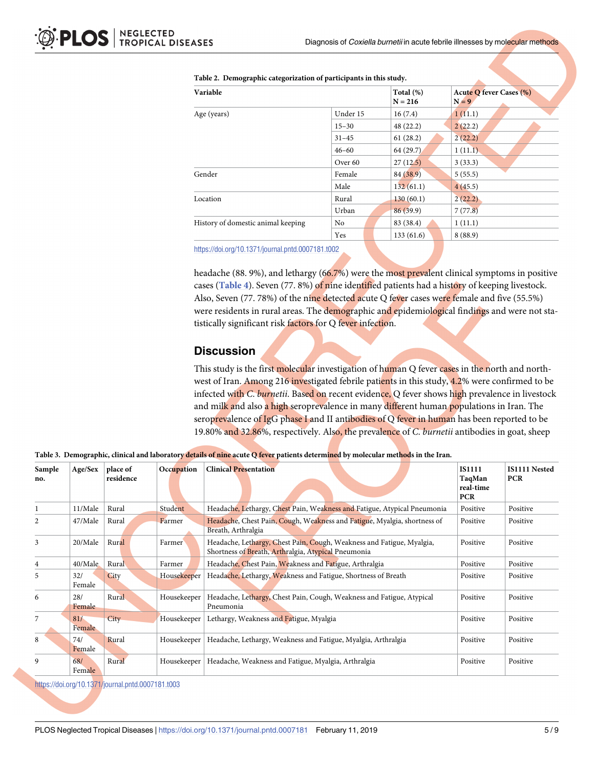| Variable                           |                    | Total $(\%)$<br>$N = 216$ | <b>Acute Q fever Cases (%)</b><br>$N = 9$ |  |
|------------------------------------|--------------------|---------------------------|-------------------------------------------|--|
| Age (years)                        | Under 15           | 16(7.4)                   | 1(11.1)                                   |  |
|                                    | $15 - 30$          | 48 (22.2)                 | 2(22.2)                                   |  |
|                                    | $31 - 45$          | 61(28.2)                  | 2(22.2)                                   |  |
|                                    | $46 - 60$          | 64 (29.7)                 | 1(11.1)                                   |  |
|                                    | Over <sub>60</sub> | 27(12.5)                  | 3(33.3)                                   |  |
| Gender                             | Female             | 84 (38.9)                 | 5(55.5)                                   |  |
|                                    | Male               | 132(61.1)                 | 4(45.5)                                   |  |
| Location                           | Rural              | 130(60.1)                 | 2(22.2)                                   |  |
|                                    | Urban              | 86(39.9)                  | 7(77.8)                                   |  |
| History of domestic animal keeping | No.                | 83 (38.4)                 | 1(11.1)                                   |  |
|                                    | Yes                | 133(61.6)                 | 8(88.9)                                   |  |

#### <span id="page-4-0"></span>**[Table](#page-3-0) 2. Demographic categorization of participants in this study.**

<https://doi.org/10.1371/journal.pntd.0007181.t002>

headache (88. 9%), and lethargy (66.7%) were the most prevalent clinical symptoms in positive cases (**[Table](#page-5-0) 4**). Seven (77. 8%) of nine identified patients had a history of keeping livestock. Also, Seven (77. 78%) of the nine detected acute Q fever cases were female and five (55.5%) were residents in rural areas. The demographic and epidemiological findings and were not statistically significant risk factors for Q fever infection.

#### **Discussion**

This study is the first molecular investigation of human Q fever cases in the north and northwest of Iran. Among 216 investigated febrile patients in this study, 4.2% were confirmed to be infected with *C. burnetii*. Based on recent evidence, Q fever shows high prevalence in livestock and milk and also a high seroprevalence in many different human populations in Iran. The seroprevalence of  $IgG$  phase I and II antibodies of Q fever in human has been reported to be 19.80% and 32.86%, respectively. Also, the prevalence of *C*. *burnetii* antibodies in goat, sheep

| Sample<br>no. | Age/Sex       | place of<br>residence | Occupation  | <b>Clinical Presentation</b>                                                                                                 | <b>IS1111</b><br>TaqMan<br>real-time<br><b>PCR</b> | <b>IS1111 Nested</b><br><b>PCR</b> |
|---------------|---------------|-----------------------|-------------|------------------------------------------------------------------------------------------------------------------------------|----------------------------------------------------|------------------------------------|
|               | 11/Male       | Rural                 | Student     | Headache, Lethargy, Chest Pain, Weakness and Fatigue, Atypical Pneumonia                                                     | Positive                                           | Positive                           |
| 2             | 47/Male       | Rural                 | Farmer      | Headache, Chest Pain, Cough, Weakness and Fatigue, Myalgia, shortness of<br>Breath, Arthralgia                               | Positive                                           | Positive                           |
| 3             | 20/Male       | Rural                 | Farmer      | Headache, Lethargy, Chest Pain, Cough, Weakness and Fatigue, Myalgia,<br>Shortness of Breath, Arthralgia, Atypical Pneumonia | Positive                                           | Positive                           |
| 4             | 40/Male       | Rural                 | Farmer      | Headache, Chest Pain, Weakness and Fatigue, Arthralgia                                                                       | Positive                                           | Positive                           |
| 5             | 32/<br>Female | City                  | Housekeeper | Headache, Lethargy, Weakness and Fatigue, Shortness of Breath                                                                | Positive                                           | Positive                           |
| 6             | 28/<br>Female | Rural                 | Housekeeper | Headache, Lethargy, Chest Pain, Cough, Weakness and Fatigue, Atypical<br>Pneumonia                                           | Positive                                           | Positive                           |
| 7             | 81/<br>Female | City                  | Housekeeper | Lethargy, Weakness and Fatigue, Myalgia                                                                                      | Positive                                           | Positive                           |
| 8             | 74/<br>Female | Rural                 | Housekeeper | Headache, Lethargy, Weakness and Fatigue, Myalgia, Arthralgia                                                                | Positive                                           | Positive                           |
| 9             | 68/<br>Female | Rural                 | Housekeeper | Headache, Weakness and Fatigue, Myalgia, Arthralgia                                                                          | Positive                                           | Positive                           |

[Table](#page-3-0) 3. Demographic, clinical and laboratory details of nine acute Q fever patients determined by molecular methods in the Iran.

<https://doi.org/10.1371/journal.pntd.0007181.t003>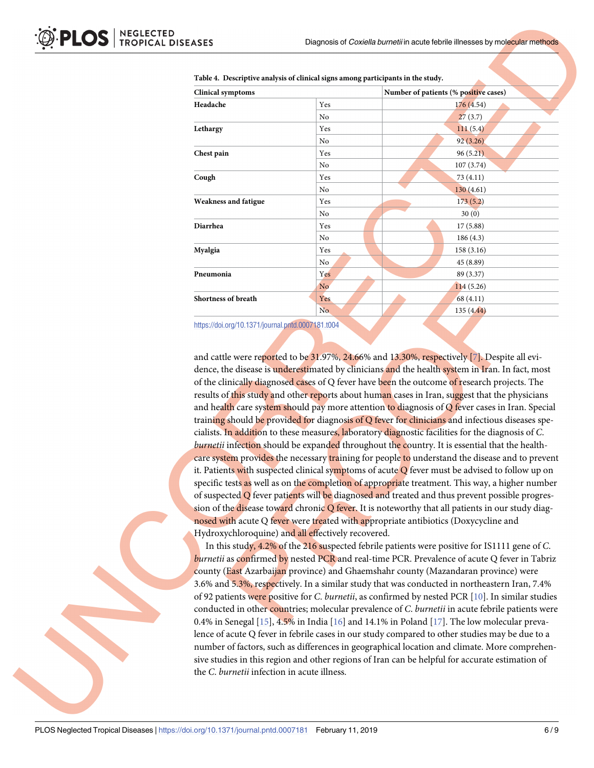| <b>Clinical symptoms</b>    |                | Number of patients (% positive cases) |  |  |  |
|-----------------------------|----------------|---------------------------------------|--|--|--|
| Headache                    | Yes            | 176 (4.54)                            |  |  |  |
|                             | No             | 27(3.7)                               |  |  |  |
| Lethargy                    | Yes            | 111(5.4)                              |  |  |  |
|                             | No             | 92(3.26)                              |  |  |  |
| Chest pain                  | Yes            | 96(5.21)                              |  |  |  |
|                             | No             | 107 (3.74)                            |  |  |  |
| Cough                       | Yes            | 73 (4.11)                             |  |  |  |
|                             | N <sub>0</sub> | 130(4.61)                             |  |  |  |
| <b>Weakness and fatigue</b> | Yes            | 173(5.2)                              |  |  |  |
|                             | No             | 30(0)                                 |  |  |  |
| <b>Diarrhea</b>             | Yes            | 17(5.88)                              |  |  |  |
|                             | No             | 186(4.3)                              |  |  |  |
| Myalgia                     | Yes            | 158 (3.16)                            |  |  |  |
|                             | No             | 45 (8.89)                             |  |  |  |
| Pneumonia                   | Yes            | 89 (3.37)                             |  |  |  |
|                             | N <sub>o</sub> | 114(5.26)                             |  |  |  |
| <b>Shortness of breath</b>  | Yes            | 68 (4.11)                             |  |  |  |
|                             | No.            | 135 (4.44)                            |  |  |  |

<span id="page-5-0"></span>

| Table 4. Descriptive analysis of clinical signs among participants in the study. |  |  |
|----------------------------------------------------------------------------------|--|--|
|                                                                                  |  |  |

<https://doi.org/10.1371/journal.pntd.0007181.t004>

and cattle were reported to be 31.9[7](#page-7-0)%, 24.66% and 13.30%, respectively [7]. Despite all evidence, the disease is underestimated by clinicians and the health system in Iran. In fact, most of the clinically diagnosed cases of Q fever have been the outcome of research projects. The results of this study and other reports about human cases in Iran, suggest that the physicians and health care system should pay more attention to diagnosis of  $\overline{O}$  fever cases in Iran. Special training should be provided for diagnosis of Q fever for clinicians and infectious diseases specialists. In addition to these measures, laboratory diagnostic facilities for the diagnosis of *C*. *burnetii* infection should be expanded throughout the country. It is essential that the healthcare system provides the necessary training for people to understand the disease and to prevent it. Patients with suspected clinical symptoms of acute  $\overline{Q}$  fever must be advised to follow up on specific tests as well as on the completion of appropriate treatment. This way, a higher number of suspected  $Q$  fever patients will be diagnosed and treated and thus prevent possible progression of the disease toward chronic  $\overline{Q}$  fever. It is noteworthy that all patients in our study diagnosed with acute Q fever were treated with appropriate antibiotics (Doxycycline and Hydroxychloroquine) and all effectively recovered.

In this study, 4.2% of the 216 suspected febrile patients were positive for IS1111 gene of *C*. *burnetii* as confirmed by nested PCR and real-time PCR. Prevalence of acute Q fever in Tabriz county (East Azarbaijan province) and Ghaemshahr county (Mazandaran province) were 3.6% and 5.3%, respectively. In a similar study that was conducted in northeastern Iran, 7.4% of 92 patients were positive for *C*. *burnetii*, as confirmed by nested PCR [\[10\]](#page-8-0). In similar studies conducted in other countries; molecular prevalence of *C*. *burnetii* in acute febrile patients were 0.4% in Senegal [[15](#page-8-0)], 4.5% in India [[16](#page-8-0)] and 14.1% in Poland [[17](#page-8-0)]. The low molecular prevalence of acute Q fever in febrile cases in our study compared to other studies may be due to a number of factors, such as differences in geographical location and climate. More comprehensive studies in this region and other regions of Iran can be helpful for accurate estimation of the *C*. *burnetii* infection in acute illness.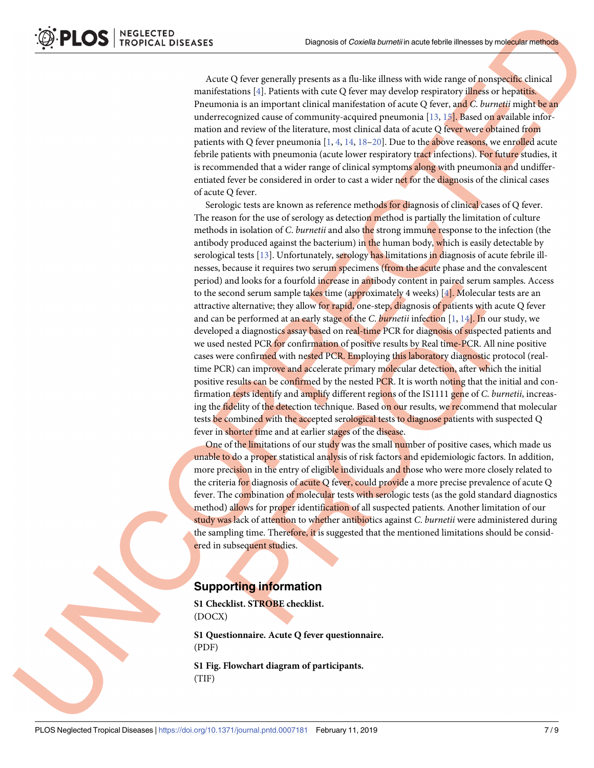<span id="page-6-0"></span>Acute Q fever generally presents as a flu-like illness with wide range of nonspecific clinical manifestations [\[4\]](#page-7-0). Patients with cute Q fever may develop respiratory illness or hepatitis. Pneumonia is an important clinical manifestation of acute Q fever, and *C*. *burnetii* might be an underrecognized cause of community-acquired pneumonia [[13](#page-8-0), [15](#page-8-0)]. Based on available information and review of the literature, most clinical data of acute Q fever were obtained from patients with Q fever pneumonia  $[1, 4, 14, 18-20]$  $[1, 4, 14, 18-20]$  $[1, 4, 14, 18-20]$  $[1, 4, 14, 18-20]$  $[1, 4, 14, 18-20]$  $[1, 4, 14, 18-20]$  $[1, 4, 14, 18-20]$ . Due to the above reasons, we enrolled acute febrile patients with pneumonia (acute lower respiratory tract infections). For future studies, it is recommended that a wider range of clinical symptoms along with pneumonia and undifferentiated fever be considered in order to cast a wider net for the diagnosis of the clinical cases of acute Q fever.

Serologic tests are known as reference methods for diagnosis of clinical cases of Q fever. The reason for the use of serology as detection method is partially the limitation of culture methods in isolation of *C*. *burnetii* and also the strong immune response to the infection (the antibody produced against the bacterium) in the human body, which is easily detectable by serological tests  $[13]$  $[13]$  $[13]$ . Unfortunately, serology has limitations in diagnosis of acute febrile illnesses, because it requires two serum specimens (from the acute phase and the convalescent period) and looks for a fourfold increase in antibody content in paired serum samples. Access to the second serum sample takes time (approximately 4 weeks)  $[4]$ . Molecular tests are an attractive alternative; they allow for rapid, one-step, diagnosis of patients with acute Q fever and can be performed at an early stage of the *C*. *burnetii* infection [\[1](#page-7-0), [14](#page-8-0)]. In our study, we developed a diagnostics assay based on real-time PCR for diagnosis of suspected patients and we used nested PCR for confirmation of positive results by Real time-PCR. All nine positive cases were confirmed with nested PCR. Employing this laboratory diagnostic protocol (realtime PCR) can improve and accelerate primary molecular detection, after which the initial positive results can be confirmed by the nested PCR. It is worth noting that the initial and confirmation tests identify and amplify different regions of the IS1111 gene of *C*. *burnetii*, increasing the fidelity of the detection technique. Based on our results, we recommend that molecular tests be combined with the accepted serological tests to diagnose patients with suspected Q fever in shorter time and at earlier stages of the disease.

One of the limitations of our study was the small number of positive cases, which made us unable to do a proper statistical analysis of risk factors and epidemiologic factors. In addition, more precision in the entry of eligible individuals and those who were more closely related to the criteria for diagnosis of acute Q fever, could provide a more precise prevalence of acute Q fever. The combination of molecular tests with serologic tests (as the gold standard diagnostics method) allows for proper identification of all suspected patients. Another limitation of our study was lack of attention to whether antibiotics against *C*. *burnetii* were administered during the sampling time. Therefore, it is suggested that the mentioned limitations should be considered in subsequent studies.

### **Supporting information**

**S1 [Checklist.](http://journals.plos.org/plosntds/article/asset?unique&id=info:doi/10.1371/journal.pntd.0007181.s001) STROBE checklist.** (DOCX)

**S1 [Questionnaire.](http://journals.plos.org/plosntds/article/asset?unique&id=info:doi/10.1371/journal.pntd.0007181.s002) Acute Q fever questionnaire.** (PDF)

**S1 [Fig](http://journals.plos.org/plosntds/article/asset?unique&id=info:doi/10.1371/journal.pntd.0007181.s003). Flowchart diagram of participants.** (TIF)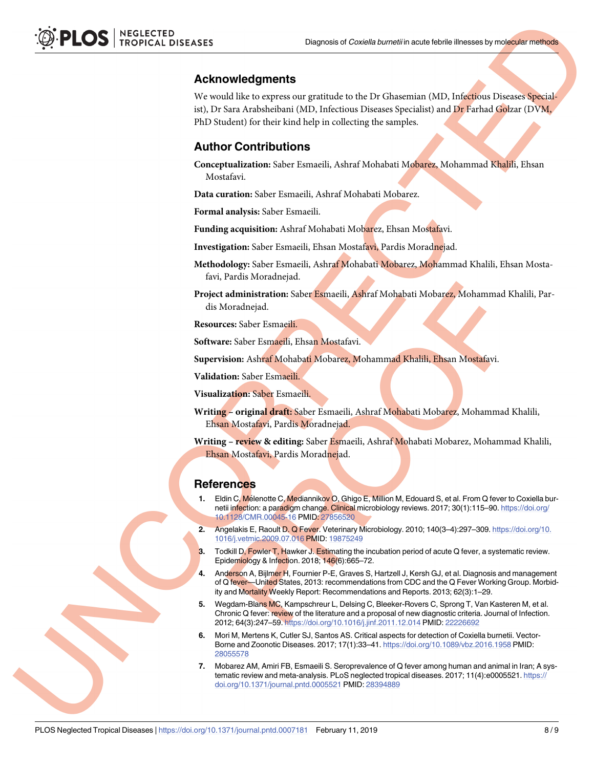#### <span id="page-7-0"></span>**Acknowledgments**

We would like to express our gratitude to the Dr Ghasemian (MD, Infectious Diseases Specialist), Dr Sara Arabsheibani (MD, Infectious Diseases Specialist) and Dr Farhad Golzar (DVM, PhD Student) for their kind help in collecting the samples.

#### **Author Contributions**

**Conceptualization:** Saber Esmaeili, Ashraf Mohabati Mobarez, Mohammad Khalili, Ehsan Mostafavi.

**Data curation:** Saber Esmaeili, Ashraf Mohabati Mobarez.

**Formal analysis:** Saber Esmaeili.

**Funding acquisition:** Ashraf Mohabati Mobarez, Ehsan Mostafavi.

**Investigation:** Saber Esmaeili, Ehsan Mostafavi, Pardis Moradnejad.

**Methodology:** Saber Esmaeili, Ashraf Mohabati Mobarez, Mohammad Khalili, Ehsan Mostafavi, Pardis Moradnejad.

**Project administration:** Saber Esmaeili, Ashraf Mohabati Mobarez, Mohammad Khalili, Pardis Moradnejad.

**Resources:** Saber Esmaeili.

**Software:** Saber Esmaeili, Ehsan Mostafavi.

**Supervision:** Ashraf Mohabati Mobarez, Mohammad Khalili, Ehsan Mostafavi.

**Validation:** Saber Esmaeili.

**Visualization:** Saber Esmaeili.

**Writing – original draft:** Saber Esmaeili, Ashraf Mohabati Mobarez, Mohammad Khalili, Ehsan Mostafavi, Pardis Moradnejad.

**Writing – review & editing:** Saber Esmaeili, Ashraf Mohabati Mobarez, Mohammad Khalili, Ehsan Mostafavi, Pardis Moradnejad.

#### **References**

- **[1](#page-1-0).** Eldin C, Mélenotte C, Mediannikov O, Ghigo E, Million M, Edouard S, et al. From Q fever to Coxiella burnetii infection: a paradigm change. Clinical microbiology reviews. 2017; 30(1):115–90. [https://doi.org/](https://doi.org/10.1128/CMR.00045-16) [10.1128/CMR.00045-16](https://doi.org/10.1128/CMR.00045-16) PMID: [27856520](http://www.ncbi.nlm.nih.gov/pubmed/27856520)
- **[2](#page-1-0).** Angelakis E, Raoult D. Q Fever. Veterinary Microbiology. 2010; 140(3–4):297–309. [https://doi.org/10.](https://doi.org/10.1016/j.vetmic.2009.07.016) [1016/j.vetmic.2009.07.016](https://doi.org/10.1016/j.vetmic.2009.07.016) PMID: [19875249](http://www.ncbi.nlm.nih.gov/pubmed/19875249)
- **[3](#page-1-0).** Todkill D, Fowler T, Hawker J. Estimating the incubation period of acute Q fever, a systematic review. Epidemiology & Infection. 2018; 146(6):665–72.
- **[4](#page-1-0).** Anderson A, Bijlmer H, Fournier P-E, Graves S, Hartzell J, Kersh GJ, et al. Diagnosis and management of Q fever—United States, 2013: recommendations from CDC and the Q Fever Working Group. Morbidity and Mortality Weekly Report: Recommendations and Reports. 2013; 62(3):1–29.
- **[5](#page-1-0).** Wegdam-Blans MC, Kampschreur L, Delsing C, Bleeker-Rovers C, Sprong T, Van Kasteren M, et al. Chronic Q fever: review of the literature and a proposal of new diagnostic criteria. Journal of Infection. 2012; 64(3):247–59. <https://doi.org/10.1016/j.jinf.2011.12.014> PMID: [22226692](http://www.ncbi.nlm.nih.gov/pubmed/22226692)
- **[6](#page-1-0).** Mori M, Mertens K, Cutler SJ, Santos AS. Critical aspects for detection of Coxiella burnetii. Vector-Borne and Zoonotic Diseases. 2017; 17(1):33–41. <https://doi.org/10.1089/vbz.2016.1958> PMID: [28055578](http://www.ncbi.nlm.nih.gov/pubmed/28055578)
- **[7](#page-1-0).** Mobarez AM, Amiri FB, Esmaeili S. Seroprevalence of Q fever among human and animal in Iran; A systematic review and meta-analysis. PLoS neglected tropical diseases. 2017; 11(4):e0005521. [https://](https://doi.org/10.1371/journal.pntd.0005521) [doi.org/10.1371/journal.pntd.0005521](https://doi.org/10.1371/journal.pntd.0005521) PMID: [28394889](http://www.ncbi.nlm.nih.gov/pubmed/28394889)